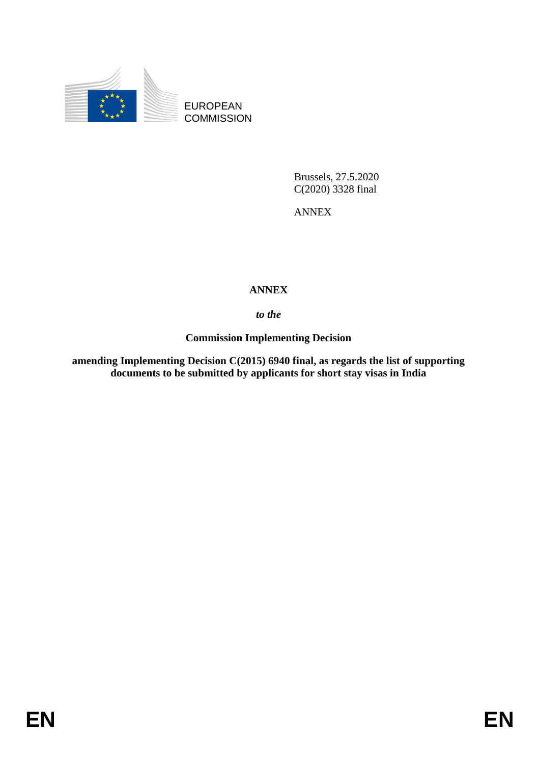

EUROPEAN **COMMISSION** 

> Brussels, 27.5.2020 C(2020) 3328 final

ANNEX

# **ANNEX**

*to the* 

**Commission Implementing Decision** 

**amending Implementing Decision C(2015) 6940 final, as regards the list of supporting documents to be submitted by applicants for short stay visas in India**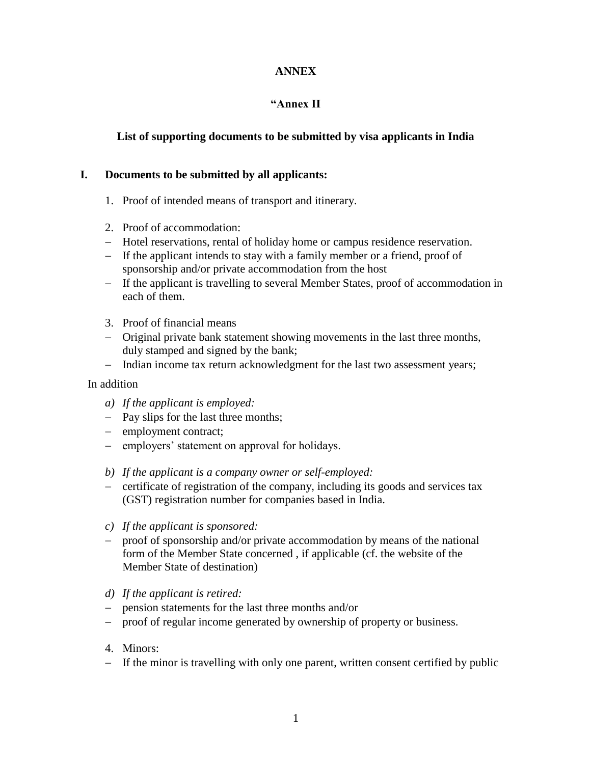### **ANNEX**

# **"Annex II**

## **List of supporting documents to be submitted by visa applicants in India**

#### **I. Documents to be submitted by all applicants:**

- 1. Proof of intended means of transport and itinerary.
- 2. Proof of accommodation:
- Hotel reservations, rental of holiday home or campus residence reservation.
- If the applicant intends to stay with a family member or a friend, proof of sponsorship and/or private accommodation from the host
- If the applicant is travelling to several Member States, proof of accommodation in each of them.
- 3. Proof of financial means
- Original private bank statement showing movements in the last three months, duly stamped and signed by the bank;
- Indian income tax return acknowledgment for the last two assessment years;

#### In addition

- *a) If the applicant is employed:*
- Pay slips for the last three months;
- employment contract;
- employers' statement on approval for holidays.
- *b) If the applicant is a company owner or self-employed:*
- certificate of registration of the company, including its goods and services tax (GST) registration number for companies based in India.
- *c) If the applicant is sponsored:*
- proof of sponsorship and/or private accommodation by means of the national form of the Member State concerned , if applicable (cf. the website of the Member State of destination)
- *d) If the applicant is retired:*
- pension statements for the last three months and/or
- proof of regular income generated by ownership of property or business.
- 4. Minors:
- If the minor is travelling with only one parent, written consent certified by public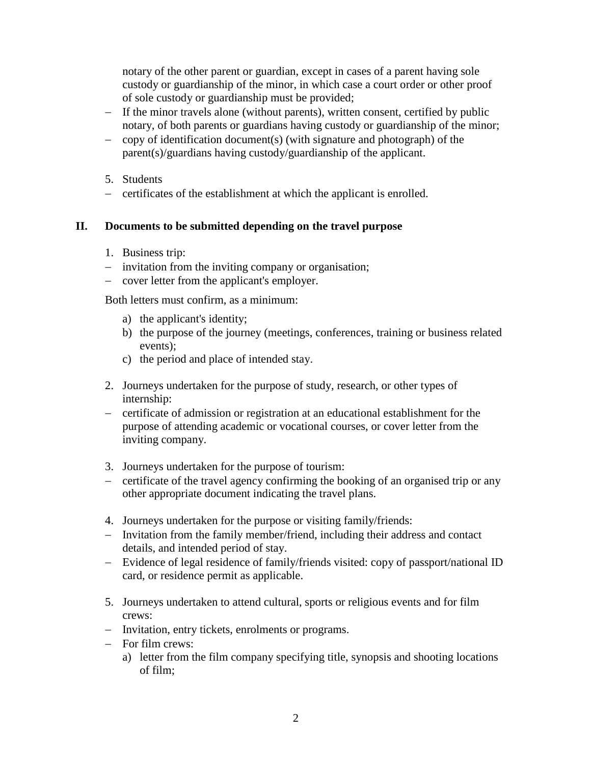notary of the other parent or guardian, except in cases of a parent having sole custody or guardianship of the minor, in which case a court order or other proof of sole custody or guardianship must be provided;

- If the minor travels alone (without parents), written consent, certified by public notary, of both parents or guardians having custody or guardianship of the minor;
- $\sim$  copy of identification document(s) (with signature and photograph) of the parent(s)/guardians having custody/guardianship of the applicant.
- 5. Students
- certificates of the establishment at which the applicant is enrolled.

#### **II. Documents to be submitted depending on the travel purpose**

- 1. Business trip:
- $\overline{\phantom{a}}$  invitation from the inviting company or organisation;
- cover letter from the applicant's employer.

Both letters must confirm, as a minimum:

- a) the applicant's identity;
- b) the purpose of the journey (meetings, conferences, training or business related events);
- c) the period and place of intended stay.
- 2. Journeys undertaken for the purpose of study, research, or other types of internship:
- certificate of admission or registration at an educational establishment for the purpose of attending academic or vocational courses, or cover letter from the inviting company.
- 3. Journeys undertaken for the purpose of tourism:
- certificate of the travel agency confirming the booking of an organised trip or any other appropriate document indicating the travel plans.
- 4. Journeys undertaken for the purpose or visiting family/friends:
- Invitation from the family member/friend, including their address and contact details, and intended period of stay.
- Evidence of legal residence of family/friends visited: copy of passport/national ID card, or residence permit as applicable.
- 5. Journeys undertaken to attend cultural, sports or religious events and for film crews:
- Invitation, entry tickets, enrolments or programs.
- For film crews:
	- a) letter from the film company specifying title, synopsis and shooting locations of film;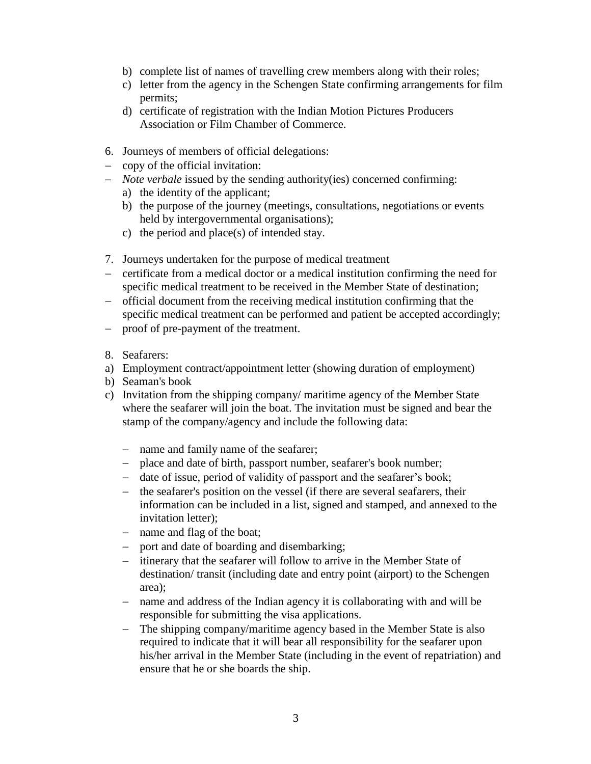- b) complete list of names of travelling crew members along with their roles;
- c) letter from the agency in the Schengen State confirming arrangements for film permits;
- d) certificate of registration with the Indian Motion Pictures Producers Association or Film Chamber of Commerce.
- 6. Journeys of members of official delegations:
- $\sim$  copy of the official invitation:
- *Note verbale* issued by the sending authority(ies) concerned confirming:
	- a) the identity of the applicant;
	- b) the purpose of the journey (meetings, consultations, negotiations or events held by intergovernmental organisations);
	- c) the period and place(s) of intended stay.
- 7. Journeys undertaken for the purpose of medical treatment
- certificate from a medical doctor or a medical institution confirming the need for specific medical treatment to be received in the Member State of destination;
- official document from the receiving medical institution confirming that the specific medical treatment can be performed and patient be accepted accordingly;
- proof of pre-payment of the treatment.
- 8. Seafarers:
- a) Employment contract/appointment letter (showing duration of employment)
- b) Seaman's book
- c) Invitation from the shipping company/ maritime agency of the Member State where the seafarer will join the boat. The invitation must be signed and bear the stamp of the company/agency and include the following data:
	- name and family name of the seafarer;
	- place and date of birth, passport number, seafarer's book number;
	- date of issue, period of validity of passport and the seafarer's book;
	- the seafarer's position on the vessel (if there are several seafarers, their information can be included in a list, signed and stamped, and annexed to the invitation letter);
	- name and flag of the boat;
	- port and date of boarding and disembarking;
	- itinerary that the seafarer will follow to arrive in the Member State of destination/ transit (including date and entry point (airport) to the Schengen area);
	- name and address of the Indian agency it is collaborating with and will be responsible for submitting the visa applications.
	- The shipping company/maritime agency based in the Member State is also required to indicate that it will bear all responsibility for the seafarer upon his/her arrival in the Member State (including in the event of repatriation) and ensure that he or she boards the ship.